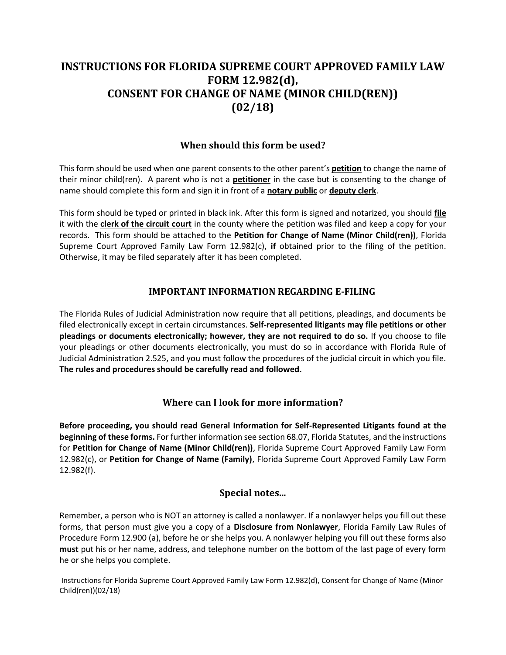# **INSTRUCTIONS FOR FLORIDA SUPREME COURT APPROVED FAMILY LAW FORM 12.982(d), CONSENT FOR CHANGE OF NAME (MINOR CHILD(REN)) (02/18)**

# **When should this form be used?**

 This form should be used when one parent consents to the other parent's **petition** to change the name of their minor child(ren). A parent who is not a **petitioner** in the case but is consenting to the change of name should complete this form and sign it in front of a **notary public** or **deputy clerk**.

 This form should be typed or printed in black ink. After this form is signed and notarized, you should **file**  it with the **clerk of the circuit court** in the county where the petition was filed and keep a copy for your records. This form should be attached to the **Petition for Change of Name (Minor Child(ren))**, Florida Supreme Court Approved Family Law Form 12.982(c), **if** obtained prior to the filing of the petition. Otherwise, it may be filed separately after it has been completed.

#### **IMPORTANT INFORMATION REGARDING E-FILING**

 The Florida Rules of Judicial Administration now require that all petitions, pleadings, and documents be  **pleadings or documents electronically; however, they are not required to do so.** If you choose to file your pleadings or other documents electronically, you must do so in accordance with Florida Rule of Judicial Administration 2.525, and you must follow the procedures of the judicial circuit in which you file. filed electronically except in certain circumstances. **Self-represented litigants may file petitions or other The rules and procedures should be carefully read and followed.** 

## **Where can I look for more information?**

 **Before proceeding, you should read General Information for Self-Represented Litigants found at the beginning of these forms.** For further information see section 68.07, Florida Statutes, and the instructions  for **Petition for Change of Name (Minor Child(ren))**, Florida Supreme Court Approved Family Law Form  12.982(c), or **Petition for Change of Name (Family)**, Florida Supreme Court Approved Family Law Form 12.982(f).

#### **Special notes...**

 Remember, a person who is NOT an attorney is called a nonlawyer. If a nonlawyer helps you fill out these forms, that person must give you a copy of a **Disclosure from Nonlawyer**, Florida Family Law Rules of **must** put his or her name, address, and telephone number on the bottom of the last page of every form Procedure Form 12.900 (a), before he or she helps you. A nonlawyer helping you fill out these forms also he or she helps you complete.

Instructions for Florida Supreme Court Approved Family Law Form 12.982(d), Consent for Change of Name (Minor Child(ren))(02/18)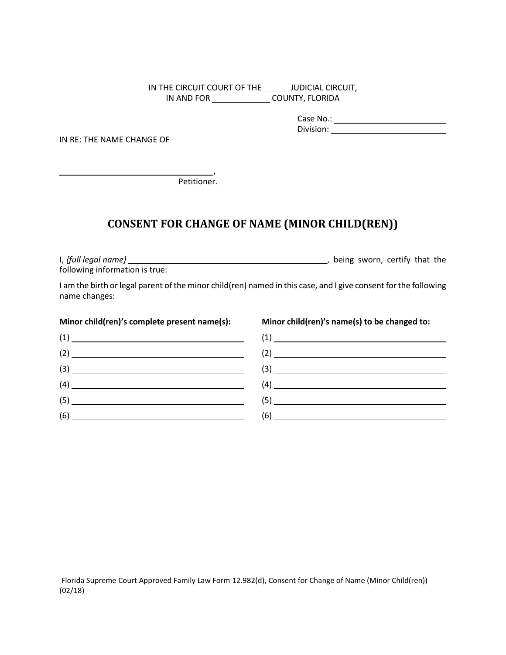IN THE CIRCUIT COURT OF THE **INCOLLAL CIRCUIT**, IN AND FOR \_\_\_\_\_\_\_\_\_\_\_\_\_\_\_\_\_ COUNTY, FLORIDA

> 

IN RE: THE NAME CHANGE OF

\_\_\_\_\_\_\_\_\_\_\_\_\_\_\_\_\_\_\_, Petitioner.

# **CONSENT FOR CHANGE OF NAME (MINOR CHILD(REN))**

L

I, *{full legal name}* , being sworn, certify that the

following information is true:

 I am the birth or legal parent of the minor child(ren) named in this case, and I give consent for the following name changes:

### **Minor child(ren)'s complete present name(s): Minor child(ren)'s name(s) to be changed to:**

| $(1) \qquad \qquad \overbrace{\qquad \qquad }$ | $(1) \begin{tabular}{ c c c c } \hline \rule{0.3cm}{.01cm} & \rule{0.3cm}{.01cm} \rule{0.3cm}{.01cm} \rule{0.3cm}{.01cm} \rule{0.3cm}{.01cm} \rule{0.3cm}{.01cm} \rule{0.3cm}{.01cm} \rule{0.3cm}{.01cm} \rule{0.3cm}{.01cm} \rule{0.3cm}{.01cm} \rule{0.3cm}{.01cm} \rule{0.3cm}{.01cm} \rule{0.3cm}{.01cm} \rule{0.3cm}{.01cm} \rule{0.3cm}{.01cm} \rule$ |
|------------------------------------------------|-------------------------------------------------------------------------------------------------------------------------------------------------------------------------------------------------------------------------------------------------------------------------------------------------------------------------------------------------------------|
|                                                |                                                                                                                                                                                                                                                                                                                                                             |
| $(3)$ (3)                                      |                                                                                                                                                                                                                                                                                                                                                             |
| $(4)$ (4)                                      |                                                                                                                                                                                                                                                                                                                                                             |
| $(5)$ (5)                                      |                                                                                                                                                                                                                                                                                                                                                             |
| (6)                                            | (6)                                                                                                                                                                                                                                                                                                                                                         |